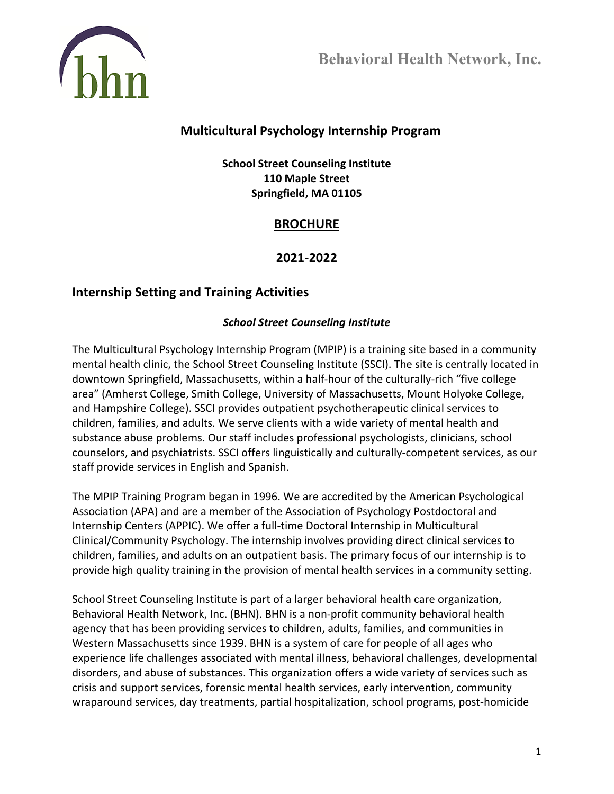

# **Multicultural Psychology Internship Program**

**School Street Counseling Institute 110 Maple Street Springfield, MA 01105**

# **BROCHURE**

## **2021-2022**

# **Internship Setting and Training Activities**

### *School Street Counseling Institute*

The Multicultural Psychology Internship Program (MPIP) is a training site based in a community mental health clinic, the School Street Counseling Institute (SSCI). The site is centrally located in downtown Springfield, Massachusetts, within a half-hour of the culturally-rich "five college area" (Amherst College, Smith College, University of Massachusetts, Mount Holyoke College, and Hampshire College). SSCI provides outpatient psychotherapeutic clinical services to children, families, and adults. We serve clients with a wide variety of mental health and substance abuse problems. Our staff includes professional psychologists, clinicians, school counselors, and psychiatrists. SSCI offers linguistically and culturally-competent services, as our staff provide services in English and Spanish.

The MPIP Training Program began in 1996. We are accredited by the American Psychological Association (APA) and are a member of the Association of Psychology Postdoctoral and Internship Centers (APPIC). We offer a full-time Doctoral Internship in Multicultural Clinical/Community Psychology. The internship involves providing direct clinical services to children, families, and adults on an outpatient basis. The primary focus of our internship is to provide high quality training in the provision of mental health services in a community setting.

School Street Counseling Institute is part of a larger behavioral health care organization, Behavioral Health Network, Inc. (BHN). BHN is a non-profit community behavioral health agency that has been providing services to children, adults, families, and communities in Western Massachusetts since 1939. BHN is a system of care for people of all ages who experience life challenges associated with mental illness, behavioral challenges, developmental disorders, and abuse of substances. This organization offers a wide variety of services such as crisis and support services, forensic mental health services, early intervention, community wraparound services, day treatments, partial hospitalization, school programs, post-homicide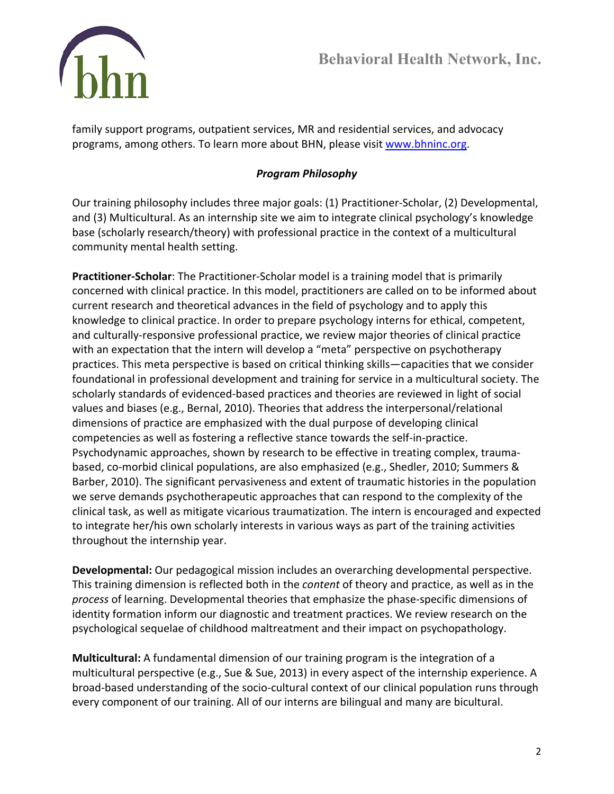

family support programs, outpatient services, MR and residential services, and advocacy programs, among others. To learn more about BHN, please visit [www.bhninc.org.](http://www.bhninc.org/)

## *Program Philosophy*

Our training philosophy includes three major goals: (1) Practitioner-Scholar, (2) Developmental, and (3) Multicultural. As an internship site we aim to integrate clinical psychology's knowledge base (scholarly research/theory) with professional practice in the context of a multicultural community mental health setting.

**Practitioner-Scholar**: The Practitioner-Scholar model is a training model that is primarily concerned with clinical practice. In this model, practitioners are called on to be informed about current research and theoretical advances in the field of psychology and to apply this knowledge to clinical practice. In order to prepare psychology interns for ethical, competent, and culturally-responsive professional practice, we review major theories of clinical practice with an expectation that the intern will develop a "meta" perspective on psychotherapy practices. This meta perspective is based on critical thinking skills—capacities that we consider foundational in professional development and training for service in a multicultural society. The scholarly standards of evidenced-based practices and theories are reviewed in light of social values and biases (e.g., Bernal, 2010). Theories that address the interpersonal/relational dimensions of practice are emphasized with the dual purpose of developing clinical competencies as well as fostering a reflective stance towards the self-in-practice. Psychodynamic approaches, shown by research to be effective in treating complex, traumabased, co-morbid clinical populations, are also emphasized (e.g., Shedler, 2010; Summers & Barber, 2010). The significant pervasiveness and extent of traumatic histories in the population we serve demands psychotherapeutic approaches that can respond to the complexity of the clinical task, as well as mitigate vicarious traumatization. The intern is encouraged and expected to integrate her/his own scholarly interests in various ways as part of the training activities throughout the internship year.

**Developmental:** Our pedagogical mission includes an overarching developmental perspective. This training dimension is reflected both in the *content* of theory and practice, as well as in the *process* of learning. Developmental theories that emphasize the phase-specific dimensions of identity formation inform our diagnostic and treatment practices. We review research on the psychological sequelae of childhood maltreatment and their impact on psychopathology.

**Multicultural:** A fundamental dimension of our training program is the integration of a multicultural perspective (e.g., Sue & Sue, 2013) in every aspect of the internship experience. A broad-based understanding of the socio-cultural context of our clinical population runs through every component of our training. All of our interns are bilingual and many are bicultural.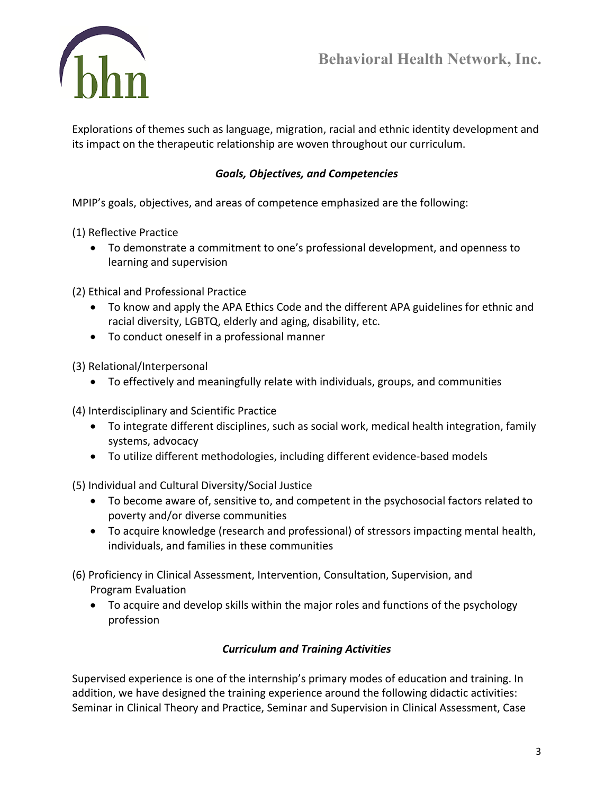

Explorations of themes such as language, migration, racial and ethnic identity development and its impact on the therapeutic relationship are woven throughout our curriculum.

## *Goals, Objectives, and Competencies*

MPIP's goals, objectives, and areas of competence emphasized are the following:

(1) Reflective Practice

• To demonstrate a commitment to one's professional development, and openness to learning and supervision

(2) Ethical and Professional Practice

- To know and apply the APA Ethics Code and the different APA guidelines for ethnic and racial diversity, LGBTQ, elderly and aging, disability, etc.
- To conduct oneself in a professional manner
- (3) Relational/Interpersonal
	- To effectively and meaningfully relate with individuals, groups, and communities

(4) Interdisciplinary and Scientific Practice

- To integrate different disciplines, such as social work, medical health integration, family systems, advocacy
- To utilize different methodologies, including different evidence-based models

(5) Individual and Cultural Diversity/Social Justice

- To become aware of, sensitive to, and competent in the psychosocial factors related to poverty and/or diverse communities
- To acquire knowledge (research and professional) of stressors impacting mental health, individuals, and families in these communities

(6) Proficiency in Clinical Assessment, Intervention, Consultation, Supervision, and Program Evaluation

• To acquire and develop skills within the major roles and functions of the psychology profession

### *Curriculum and Training Activities*

Supervised experience is one of the internship's primary modes of education and training. In addition, we have designed the training experience around the following didactic activities: Seminar in Clinical Theory and Practice, Seminar and Supervision in Clinical Assessment, Case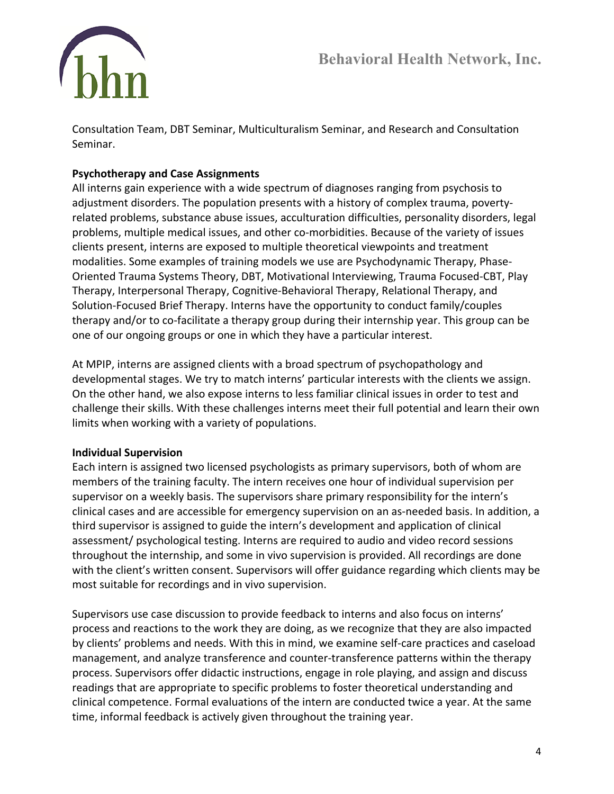

Consultation Team, DBT Seminar, Multiculturalism Seminar, and Research and Consultation Seminar.

## **Psychotherapy and Case Assignments**

All interns gain experience with a wide spectrum of diagnoses ranging from psychosis to adjustment disorders. The population presents with a history of complex trauma, povertyrelated problems, substance abuse issues, acculturation difficulties, personality disorders, legal problems, multiple medical issues, and other co-morbidities. Because of the variety of issues clients present, interns are exposed to multiple theoretical viewpoints and treatment modalities. Some examples of training models we use are Psychodynamic Therapy, Phase-Oriented Trauma Systems Theory, DBT, Motivational Interviewing, Trauma Focused-CBT, Play Therapy, Interpersonal Therapy, Cognitive-Behavioral Therapy, Relational Therapy, and Solution-Focused Brief Therapy. Interns have the opportunity to conduct family/couples therapy and/or to co-facilitate a therapy group during their internship year. This group can be one of our ongoing groups or one in which they have a particular interest.

At MPIP, interns are assigned clients with a broad spectrum of psychopathology and developmental stages. We try to match interns' particular interests with the clients we assign. On the other hand, we also expose interns to less familiar clinical issues in order to test and challenge their skills. With these challenges interns meet their full potential and learn their own limits when working with a variety of populations.

## **Individual Supervision**

Each intern is assigned two licensed psychologists as primary supervisors, both of whom are members of the training faculty. The intern receives one hour of individual supervision per supervisor on a weekly basis. The supervisors share primary responsibility for the intern's clinical cases and are accessible for emergency supervision on an as-needed basis. In addition, a third supervisor is assigned to guide the intern's development and application of clinical assessment/ psychological testing. Interns are required to audio and video record sessions throughout the internship, and some in vivo supervision is provided. All recordings are done with the client's written consent. Supervisors will offer guidance regarding which clients may be most suitable for recordings and in vivo supervision.

Supervisors use case discussion to provide feedback to interns and also focus on interns' process and reactions to the work they are doing, as we recognize that they are also impacted by clients' problems and needs. With this in mind, we examine self-care practices and caseload management, and analyze transference and counter-transference patterns within the therapy process. Supervisors offer didactic instructions, engage in role playing, and assign and discuss readings that are appropriate to specific problems to foster theoretical understanding and clinical competence. Formal evaluations of the intern are conducted twice a year. At the same time, informal feedback is actively given throughout the training year.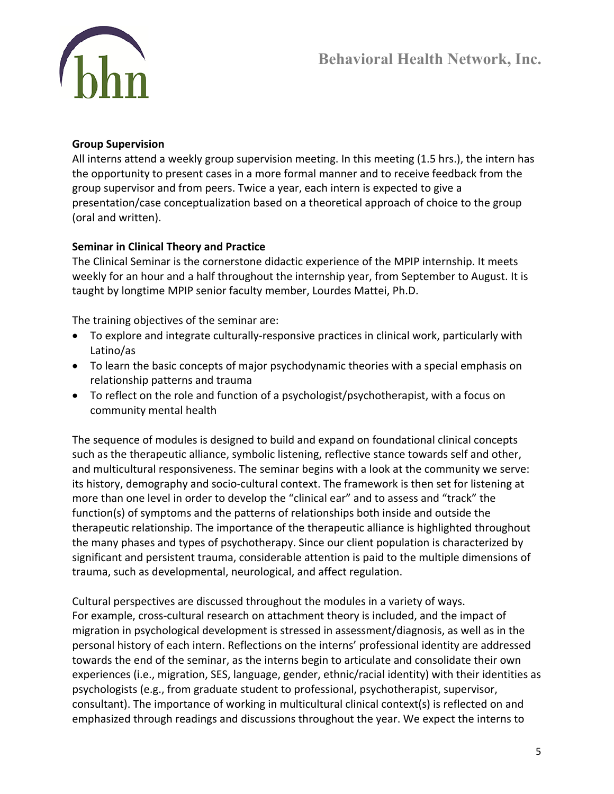

### **Group Supervision**

All interns attend a weekly group supervision meeting. In this meeting (1.5 hrs.), the intern has the opportunity to present cases in a more formal manner and to receive feedback from the group supervisor and from peers. Twice a year, each intern is expected to give a presentation/case conceptualization based on a theoretical approach of choice to the group (oral and written).

### **Seminar in Clinical Theory and Practice**

The Clinical Seminar is the cornerstone didactic experience of the MPIP internship. It meets weekly for an hour and a half throughout the internship year, from September to August. It is taught by longtime MPIP senior faculty member, Lourdes Mattei, Ph.D.

The training objectives of the seminar are:

- To explore and integrate culturally-responsive practices in clinical work, particularly with Latino/as
- To learn the basic concepts of major psychodynamic theories with a special emphasis on relationship patterns and trauma
- To reflect on the role and function of a psychologist/psychotherapist, with a focus on community mental health

The sequence of modules is designed to build and expand on foundational clinical concepts such as the therapeutic alliance, symbolic listening, reflective stance towards self and other, and multicultural responsiveness. The seminar begins with a look at the community we serve: its history, demography and socio-cultural context. The framework is then set for listening at more than one level in order to develop the "clinical ear" and to assess and "track" the function(s) of symptoms and the patterns of relationships both inside and outside the therapeutic relationship. The importance of the therapeutic alliance is highlighted throughout the many phases and types of psychotherapy. Since our client population is characterized by significant and persistent trauma, considerable attention is paid to the multiple dimensions of trauma, such as developmental, neurological, and affect regulation.

Cultural perspectives are discussed throughout the modules in a variety of ways. For example, cross-cultural research on attachment theory is included, and the impact of migration in psychological development is stressed in assessment/diagnosis, as well as in the personal history of each intern. Reflections on the interns' professional identity are addressed towards the end of the seminar, as the interns begin to articulate and consolidate their own experiences (i.e., migration, SES, language, gender, ethnic/racial identity) with their identities as psychologists (e.g., from graduate student to professional, psychotherapist, supervisor, consultant). The importance of working in multicultural clinical context(s) is reflected on and emphasized through readings and discussions throughout the year. We expect the interns to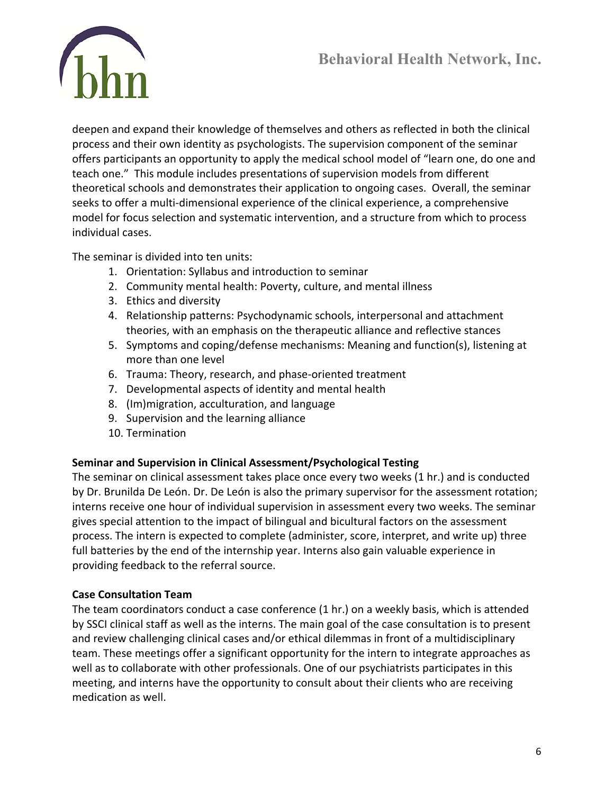

deepen and expand their knowledge of themselves and others as reflected in both the clinical process and their own identity as psychologists. The supervision component of the seminar offers participants an opportunity to apply the medical school model of "learn one, do one and teach one." This module includes presentations of supervision models from different theoretical schools and demonstrates their application to ongoing cases. Overall, the seminar seeks to offer a multi-dimensional experience of the clinical experience, a comprehensive model for focus selection and systematic intervention, and a structure from which to process individual cases.

The seminar is divided into ten units:

- 1. Orientation: Syllabus and introduction to seminar
- 2. Community mental health: Poverty, culture, and mental illness
- 3. Ethics and diversity
- 4. Relationship patterns: Psychodynamic schools, interpersonal and attachment theories, with an emphasis on the therapeutic alliance and reflective stances
- 5. Symptoms and coping/defense mechanisms: Meaning and function(s), listening at more than one level
- 6. Trauma: Theory, research, and phase-oriented treatment
- 7. Developmental aspects of identity and mental health
- 8. (Im)migration, acculturation, and language
- 9. Supervision and the learning alliance
- 10. Termination

### **Seminar and Supervision in Clinical Assessment/Psychological Testing**

The seminar on clinical assessment takes place once every two weeks (1 hr.) and is conducted by Dr. Brunilda De León. Dr. De León is also the primary supervisor for the assessment rotation; interns receive one hour of individual supervision in assessment every two weeks. The seminar gives special attention to the impact of bilingual and bicultural factors on the assessment process. The intern is expected to complete (administer, score, interpret, and write up) three full batteries by the end of the internship year. Interns also gain valuable experience in providing feedback to the referral source.

## **Case Consultation Team**

The team coordinators conduct a case conference (1 hr.) on a weekly basis, which is attended by SSCI clinical staff as well as the interns. The main goal of the case consultation is to present and review challenging clinical cases and/or ethical dilemmas in front of a multidisciplinary team. These meetings offer a significant opportunity for the intern to integrate approaches as well as to collaborate with other professionals. One of our psychiatrists participates in this meeting, and interns have the opportunity to consult about their clients who are receiving medication as well.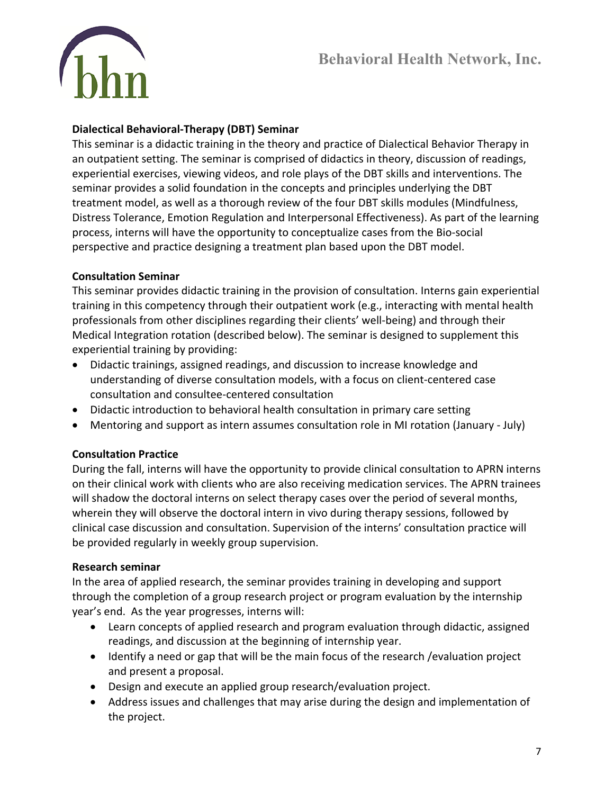

### **Dialectical Behavioral-Therapy (DBT) Seminar**

This seminar is a didactic training in the theory and practice of Dialectical Behavior Therapy in an outpatient setting. The seminar is comprised of didactics in theory, discussion of readings, experiential exercises, viewing videos, and role plays of the DBT skills and interventions. The seminar provides a solid foundation in the concepts and principles underlying the DBT treatment model, as well as a thorough review of the four DBT skills modules (Mindfulness, Distress Tolerance, Emotion Regulation and Interpersonal Effectiveness). As part of the learning process, interns will have the opportunity to conceptualize cases from the Bio-social perspective and practice designing a treatment plan based upon the DBT model.

### **Consultation Seminar**

This seminar provides didactic training in the provision of consultation. Interns gain experiential training in this competency through their outpatient work (e.g., interacting with mental health professionals from other disciplines regarding their clients' well-being) and through their Medical Integration rotation (described below). The seminar is designed to supplement this experiential training by providing:

- Didactic trainings, assigned readings, and discussion to increase knowledge and understanding of diverse consultation models, with a focus on client-centered case consultation and consultee-centered consultation
- Didactic introduction to behavioral health consultation in primary care setting
- Mentoring and support as intern assumes consultation role in MI rotation (January July)

### **Consultation Practice**

During the fall, interns will have the opportunity to provide clinical consultation to APRN interns on their clinical work with clients who are also receiving medication services. The APRN trainees will shadow the doctoral interns on select therapy cases over the period of several months, wherein they will observe the doctoral intern in vivo during therapy sessions, followed by clinical case discussion and consultation. Supervision of the interns' consultation practice will be provided regularly in weekly group supervision.

### **Research seminar**

In the area of applied research, the seminar provides training in developing and support through the completion of a group research project or program evaluation by the internship year's end. As the year progresses, interns will:

- Learn concepts of applied research and program evaluation through didactic, assigned readings, and discussion at the beginning of internship year.
- Identify a need or gap that will be the main focus of the research /evaluation project and present a proposal.
- Design and execute an applied group research/evaluation project.
- Address issues and challenges that may arise during the design and implementation of the project.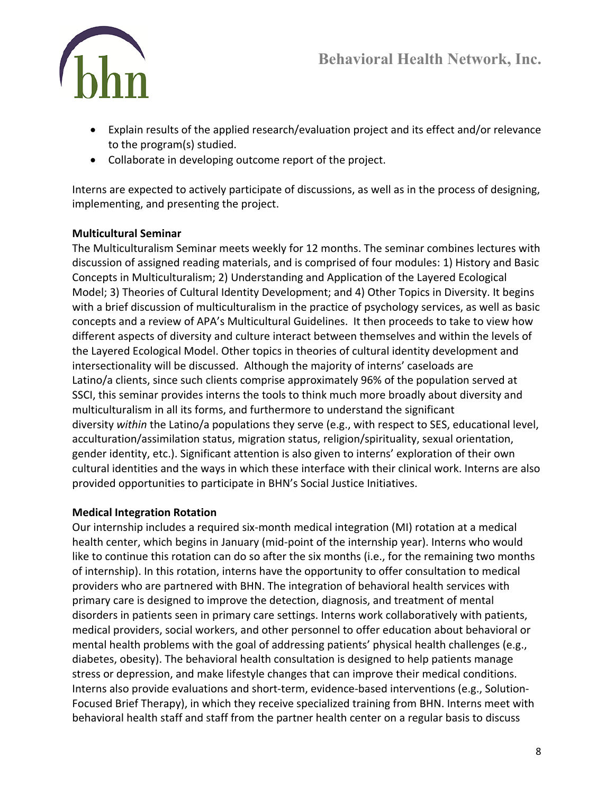

- Explain results of the applied research/evaluation project and its effect and/or relevance to the program(s) studied.
- Collaborate in developing outcome report of the project.

Interns are expected to actively participate of discussions, as well as in the process of designing, implementing, and presenting the project.

## **Multicultural Seminar**

The Multiculturalism Seminar meets weekly for 12 months. The seminar combines lectures with discussion of assigned reading materials, and is comprised of four modules: 1) History and Basic Concepts in Multiculturalism; 2) Understanding and Application of the Layered Ecological Model; 3) Theories of Cultural Identity Development; and 4) Other Topics in Diversity. It begins with a brief discussion of multiculturalism in the practice of psychology services, as well as basic concepts and a review of APA's Multicultural Guidelines. It then proceeds to take to view how different aspects of diversity and culture interact between themselves and within the levels of the Layered Ecological Model. Other topics in theories of cultural identity development and intersectionality will be discussed. Although the majority of interns' caseloads are Latino/a clients, since such clients comprise approximately 96% of the population served at SSCI, this seminar provides interns the tools to think much more broadly about diversity and multiculturalism in all its forms, and furthermore to understand the significant diversity *within* the Latino/a populations they serve (e.g., with respect to SES, educational level, acculturation/assimilation status, migration status, religion/spirituality, sexual orientation, gender identity, etc.). Significant attention is also given to interns' exploration of their own cultural identities and the ways in which these interface with their clinical work. Interns are also provided opportunities to participate in BHN's Social Justice Initiatives.

## **Medical Integration Rotation**

Our internship includes a required six-month medical integration (MI) rotation at a medical health center, which begins in January (mid-point of the internship year). Interns who would like to continue this rotation can do so after the six months (i.e., for the remaining two months of internship). In this rotation, interns have the opportunity to offer consultation to medical providers who are partnered with BHN. The integration of behavioral health services with primary care is designed to improve the detection, diagnosis, and treatment of mental disorders in patients seen in primary care settings. Interns work collaboratively with patients, medical providers, social workers, and other personnel to offer education about behavioral or mental health problems with the goal of addressing patients' physical health challenges (e.g., diabetes, obesity). The behavioral health consultation is designed to help patients manage stress or depression, and make lifestyle changes that can improve their medical conditions. Interns also provide evaluations and short-term, evidence-based interventions (e.g., Solution-Focused Brief Therapy), in which they receive specialized training from BHN. Interns meet with behavioral health staff and staff from the partner health center on a regular basis to discuss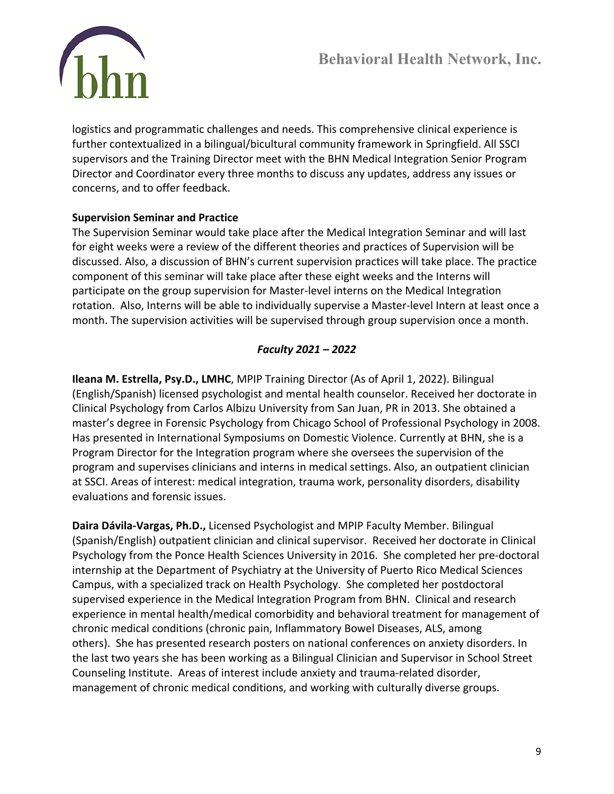

logistics and programmatic challenges and needs. This comprehensive clinical experience is further contextualized in a bilingual/bicultural community framework in Springfield. All SSCI supervisors and the Training Director meet with the BHN Medical Integration Senior Program Director and Coordinator every three months to discuss any updates, address any issues or concerns, and to offer feedback.

### **Supervision Seminar and Practice**

The Supervision Seminar would take place after the Medical Integration Seminar and will last for eight weeks were a review of the different theories and practices of Supervision will be discussed. Also, a discussion of BHN's current supervision practices will take place. The practice component of this seminar will take place after these eight weeks and the Interns will participate on the group supervision for Master-level interns on the Medical Integration rotation. Also, Interns will be able to individually supervise a Master-level Intern at least once a month. The supervision activities will be supervised through group supervision once a month.

## *Faculty 2021 – 2022*

**Ileana M. Estrella, Psy.D., LMHC**, MPIP Training Director (As of April 1, 2022). Bilingual (English/Spanish) licensed psychologist and mental health counselor. Received her doctorate in Clinical Psychology from Carlos Albizu University from San Juan, PR in 2013. She obtained a master's degree in Forensic Psychology from Chicago School of Professional Psychology in 2008. Has presented in International Symposiums on Domestic Violence. Currently at BHN, she is a Program Director for the Integration program where she oversees the supervision of the program and supervises clinicians and interns in medical settings. Also, an outpatient clinician at SSCI. Areas of interest: medical integration, trauma work, personality disorders, disability evaluations and forensic issues.

**Daira Dávila-Vargas, Ph.D.,** Licensed Psychologist and MPIP Faculty Member. Bilingual (Spanish/English) outpatient clinician and clinical supervisor. Received her doctorate in Clinical Psychology from the Ponce Health Sciences University in 2016. She completed her pre-doctoral internship at the Department of Psychiatry at the University of Puerto Rico Medical Sciences Campus, with a specialized track on Health Psychology. She completed her postdoctoral supervised experience in the Medical Integration Program from BHN. Clinical and research experience in mental health/medical comorbidity and behavioral treatment for management of chronic medical conditions (chronic pain, Inflammatory Bowel Diseases, ALS, among others). She has presented research posters on national conferences on anxiety disorders. In the last two years she has been working as a Bilingual Clinician and Supervisor in School Street Counseling Institute. Areas of interest include anxiety and trauma-related disorder, management of chronic medical conditions, and working with culturally diverse groups.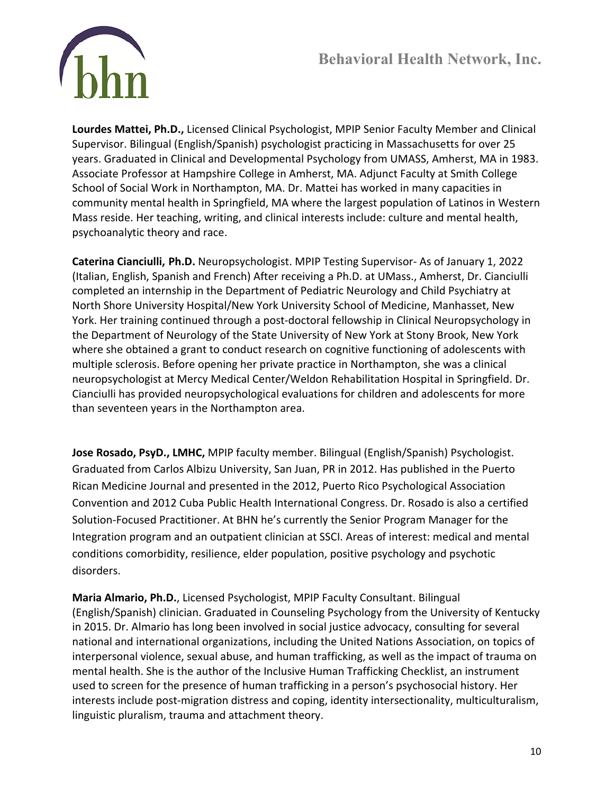

**Lourdes Mattei, Ph.D.,** Licensed Clinical Psychologist, MPIP Senior Faculty Member and Clinical Supervisor. Bilingual (English/Spanish) psychologist practicing in Massachusetts for over 25 years. Graduated in Clinical and Developmental Psychology from UMASS, Amherst, MA in 1983. Associate Professor at Hampshire College in Amherst, MA. Adjunct Faculty at Smith College School of Social Work in Northampton, MA. Dr. Mattei has worked in many capacities in community mental health in Springfield, MA where the largest population of Latinos in Western Mass reside. Her teaching, writing, and clinical interests include: culture and mental health, psychoanalytic theory and race.

**Caterina Cianciulli, Ph.D.** Neuropsychologist. MPIP Testing Supervisor- As of January 1, 2022 (Italian, English, Spanish and French) After receiving a Ph.D. at UMass., Amherst, Dr. Cianciulli completed an internship in the Department of Pediatric Neurology and Child Psychiatry at North Shore University Hospital/New York University School of Medicine, Manhasset, New York. Her training continued through a post-doctoral fellowship in Clinical Neuropsychology in the Department of Neurology of the State University of New York at Stony Brook, New York where she obtained a grant to conduct research on cognitive functioning of adolescents with multiple sclerosis. Before opening her private practice in Northampton, she was a clinical neuropsychologist at Mercy Medical Center/Weldon Rehabilitation Hospital in Springfield. Dr. Cianciulli has provided neuropsychological evaluations for children and adolescents for more than seventeen years in the Northampton area.

**Jose Rosado, PsyD., LMHC,** MPIP faculty member. Bilingual (English/Spanish) Psychologist. Graduated from Carlos Albizu University, San Juan, PR in 2012. Has published in the Puerto Rican Medicine Journal and presented in the 2012, Puerto Rico Psychological Association Convention and 2012 Cuba Public Health International Congress. Dr. Rosado is also a certified Solution-Focused Practitioner. At BHN he's currently the Senior Program Manager for the Integration program and an outpatient clinician at SSCI. Areas of interest: medical and mental conditions comorbidity, resilience, elder population, positive psychology and psychotic disorders.

**Maria Almario, Ph.D.**, Licensed Psychologist, MPIP Faculty Consultant. Bilingual (English/Spanish) clinician. Graduated in Counseling Psychology from the University of Kentucky in 2015. Dr. Almario has long been involved in social justice advocacy, consulting for several national and international organizations, including the United Nations Association, on topics of interpersonal violence, sexual abuse, and human trafficking, as well as the impact of trauma on mental health. She is the author of the Inclusive Human Trafficking Checklist, an instrument used to screen for the presence of human trafficking in a person's psychosocial history. Her interests include post-migration distress and coping, identity intersectionality, multiculturalism, linguistic pluralism, trauma and attachment theory.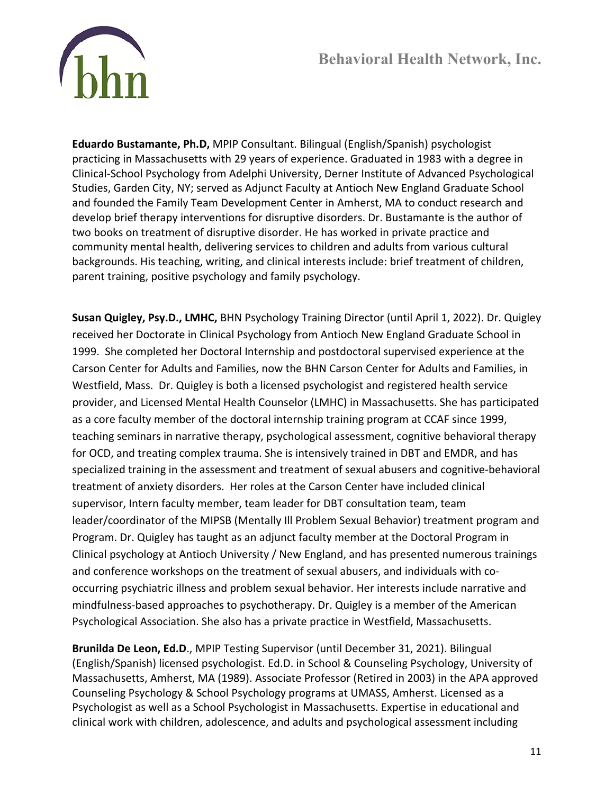

**Eduardo Bustamante, Ph.D,** MPIP Consultant. Bilingual (English/Spanish) psychologist practicing in Massachusetts with 29 years of experience. Graduated in 1983 with a degree in Clinical-School Psychology from Adelphi University, Derner Institute of Advanced Psychological Studies, Garden City, NY; served as Adjunct Faculty at Antioch New England Graduate School and founded the Family Team Development Center in Amherst, MA to conduct research and develop brief therapy interventions for disruptive disorders. Dr. Bustamante is the author of two books on treatment of disruptive disorder. He has worked in private practice and community mental health, delivering services to children and adults from various cultural backgrounds. His teaching, writing, and clinical interests include: brief treatment of children, parent training, positive psychology and family psychology.

**Susan Quigley, Psy.D., LMHC,** BHN Psychology Training Director (until April 1, 2022). Dr. Quigley received her Doctorate in Clinical Psychology from Antioch New England Graduate School in 1999. She completed her Doctoral Internship and postdoctoral supervised experience at the Carson Center for Adults and Families, now the BHN Carson Center for Adults and Families, in Westfield, Mass. Dr. Quigley is both a licensed psychologist and registered health service provider, and Licensed Mental Health Counselor (LMHC) in Massachusetts. She has participated as a core faculty member of the doctoral internship training program at CCAF since 1999, teaching seminars in narrative therapy, psychological assessment, cognitive behavioral therapy for OCD, and treating complex trauma. She is intensively trained in DBT and EMDR, and has specialized training in the assessment and treatment of sexual abusers and cognitive-behavioral treatment of anxiety disorders. Her roles at the Carson Center have included clinical supervisor, Intern faculty member, team leader for DBT consultation team, team leader/coordinator of the MIPSB (Mentally Ill Problem Sexual Behavior) treatment program and Program. Dr. Quigley has taught as an adjunct faculty member at the Doctoral Program in Clinical psychology at Antioch University / New England, and has presented numerous trainings and conference workshops on the treatment of sexual abusers, and individuals with cooccurring psychiatric illness and problem sexual behavior. Her interests include narrative and mindfulness-based approaches to psychotherapy. Dr. Quigley is a member of the American Psychological Association. She also has a private practice in Westfield, Massachusetts.

**Brunilda De Leon, Ed.D**., MPIP Testing Supervisor (until December 31, 2021). Bilingual (English/Spanish) licensed psychologist. Ed.D. in School & Counseling Psychology, University of Massachusetts, Amherst, MA (1989). Associate Professor (Retired in 2003) in the APA approved Counseling Psychology & School Psychology programs at UMASS, Amherst. Licensed as a Psychologist as well as a School Psychologist in Massachusetts. Expertise in educational and clinical work with children, adolescence, and adults and psychological assessment including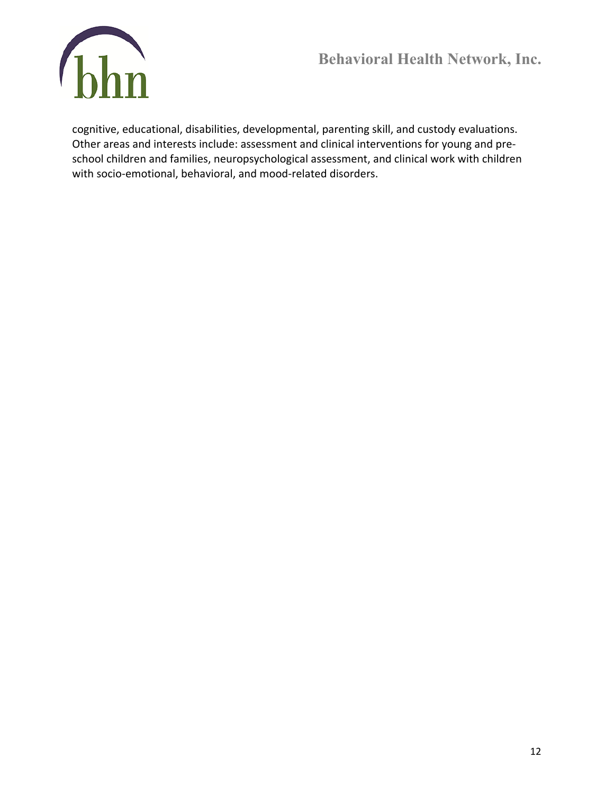

cognitive, educational, disabilities, developmental, parenting skill, and custody evaluations. Other areas and interests include: assessment and clinical interventions for young and preschool children and families, neuropsychological assessment, and clinical work with children with socio-emotional, behavioral, and mood-related disorders.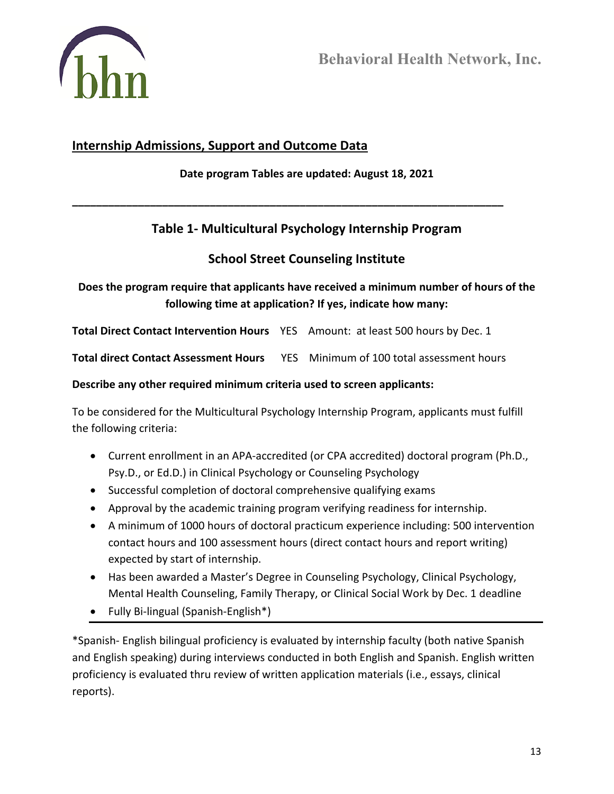

## **Internship Admissions, Support and Outcome Data**

**Date program Tables are updated: August 18, 2021**

**\_\_\_\_\_\_\_\_\_\_\_\_\_\_\_\_\_\_\_\_\_\_\_\_\_\_\_\_\_\_\_\_\_\_\_\_\_\_\_\_\_\_\_\_\_\_\_\_\_\_\_\_\_\_\_\_\_\_\_\_\_\_\_\_\_\_\_\_\_\_\_\_**

# **Table 1- Multicultural Psychology Internship Program**

## **School Street Counseling Institute**

## **Does the program require that applicants have received a minimum number of hours of the following time at application? If yes, indicate how many:**

**Total Direct Contact Intervention Hours** YES Amount: at least 500 hours by Dec. 1

**Total direct Contact Assessment Hours** YES Minimum of 100 total assessment hours

### **Describe any other required minimum criteria used to screen applicants:**

To be considered for the Multicultural Psychology Internship Program, applicants must fulfill the following criteria:

- Current enrollment in an APA-accredited (or CPA accredited) doctoral program (Ph.D., Psy.D., or Ed.D.) in Clinical Psychology or Counseling Psychology
- Successful completion of doctoral comprehensive qualifying exams
- Approval by the academic training program verifying readiness for internship.
- A minimum of 1000 hours of doctoral practicum experience including: 500 intervention contact hours and 100 assessment hours (direct contact hours and report writing) expected by start of internship.
- Has been awarded a Master's Degree in Counseling Psychology, Clinical Psychology, Mental Health Counseling, Family Therapy, or Clinical Social Work by Dec. 1 deadline
- Fully Bi-lingual (Spanish-English\*)

\*Spanish- English bilingual proficiency is evaluated by internship faculty (both native Spanish and English speaking) during interviews conducted in both English and Spanish. English written proficiency is evaluated thru review of written application materials (i.e., essays, clinical reports).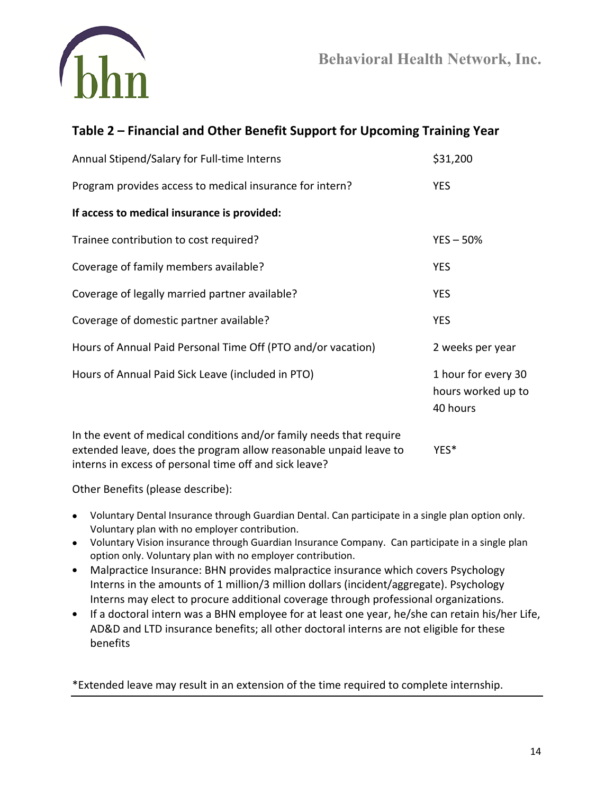

# **Table 2 – Financial and Other Benefit Support for Upcoming Training Year**

| Annual Stipend/Salary for Full-time Interns                         | \$31,200                                              |
|---------------------------------------------------------------------|-------------------------------------------------------|
| Program provides access to medical insurance for intern?            | <b>YES</b>                                            |
| If access to medical insurance is provided:                         |                                                       |
| Trainee contribution to cost required?                              | $YES - 50%$                                           |
| Coverage of family members available?                               | <b>YES</b>                                            |
| Coverage of legally married partner available?                      | <b>YES</b>                                            |
| Coverage of domestic partner available?                             | <b>YES</b>                                            |
| Hours of Annual Paid Personal Time Off (PTO and/or vacation)        | 2 weeks per year                                      |
| Hours of Annual Paid Sick Leave (included in PTO)                   | 1 hour for every 30<br>hours worked up to<br>40 hours |
| In the event of medical conditions and/or family needs that require |                                                       |

extended leave, does the program allow reasonable unpaid leave to YES\* interns in excess of personal time off and sick leave?

Other Benefits (please describe):

- Voluntary Dental Insurance through Guardian Dental. Can participate in a single plan option only. Voluntary plan with no employer contribution.
- Voluntary Vision insurance through Guardian Insurance Company. Can participate in a single plan option only. Voluntary plan with no employer contribution.
- Malpractice Insurance: BHN provides malpractice insurance which covers Psychology Interns in the amounts of 1 million/3 million dollars (incident/aggregate). Psychology Interns may elect to procure additional coverage through professional organizations.
- If a doctoral intern was a BHN employee for at least one year, he/she can retain his/her Life, AD&D and LTD insurance benefits; all other doctoral interns are not eligible for these benefits

\*Extended leave may result in an extension of the time required to complete internship.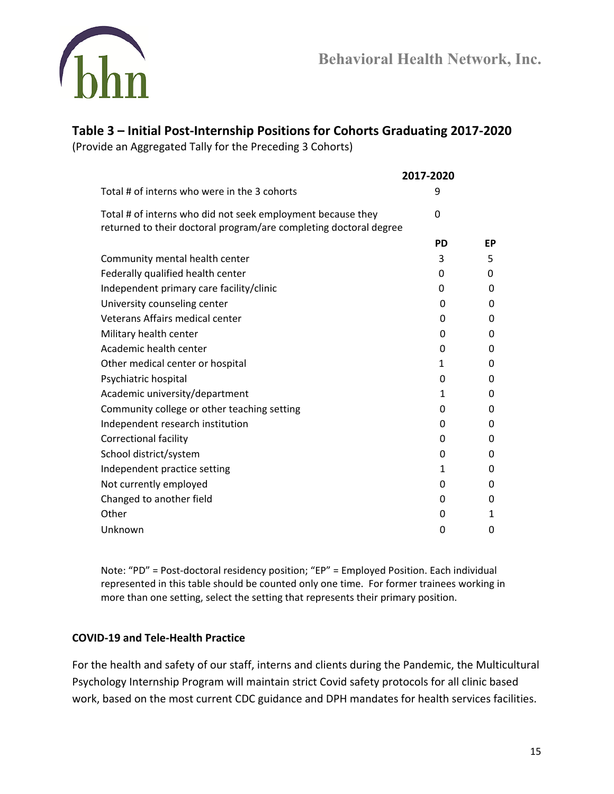

# **Table 3 – Initial Post-Internship Positions for Cohorts Graduating 2017-2020**

(Provide an Aggregated Tally for the Preceding 3 Cohorts)

|                                                                                                                                  | 2017-2020    |          |
|----------------------------------------------------------------------------------------------------------------------------------|--------------|----------|
| Total # of interns who were in the 3 cohorts                                                                                     | 9            |          |
| Total # of interns who did not seek employment because they<br>returned to their doctoral program/are completing doctoral degree | $\Omega$     |          |
|                                                                                                                                  | <b>PD</b>    | EP       |
| Community mental health center                                                                                                   | 3            | 5        |
| Federally qualified health center                                                                                                | 0            | 0        |
| Independent primary care facility/clinic                                                                                         | 0            | $\Omega$ |
| University counseling center                                                                                                     | 0            | $\Omega$ |
| Veterans Affairs medical center                                                                                                  | 0            | 0        |
| Military health center                                                                                                           | 0            | 0        |
| Academic health center                                                                                                           | 0            | 0        |
| Other medical center or hospital                                                                                                 | $\mathbf{1}$ | 0        |
| Psychiatric hospital                                                                                                             | 0            | 0        |
| Academic university/department                                                                                                   | 1            | 0        |
| Community college or other teaching setting                                                                                      | 0            | 0        |
| Independent research institution                                                                                                 | 0            | 0        |
| <b>Correctional facility</b>                                                                                                     | 0            | 0        |
| School district/system                                                                                                           | 0            | 0        |
| Independent practice setting                                                                                                     | 1            | 0        |
| Not currently employed                                                                                                           | 0            | 0        |
| Changed to another field                                                                                                         | 0            | 0        |
| Other                                                                                                                            | 0            | 1        |
| Unknown                                                                                                                          | 0            | 0        |

Note: "PD" = Post-doctoral residency position; "EP" = Employed Position. Each individual represented in this table should be counted only one time. For former trainees working in more than one setting, select the setting that represents their primary position.

### **COVID-19 and Tele-Health Practice**

For the health and safety of our staff, interns and clients during the Pandemic, the Multicultural Psychology Internship Program will maintain strict Covid safety protocols for all clinic based work, based on the most current CDC guidance and DPH mandates for health services facilities.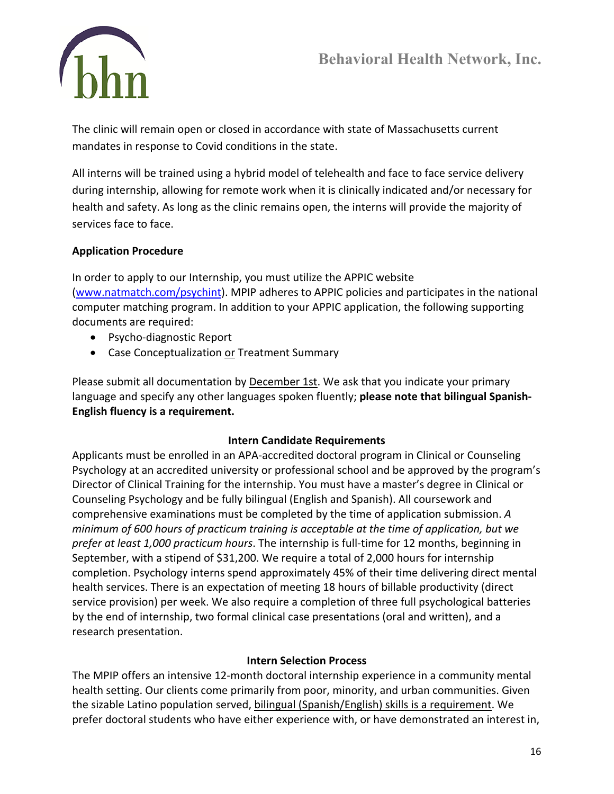

The clinic will remain open or closed in accordance with state of Massachusetts current mandates in response to Covid conditions in the state.

All interns will be trained using a hybrid model of telehealth and face to face service delivery during internship, allowing for remote work when it is clinically indicated and/or necessary for health and safety. As long as the clinic remains open, the interns will provide the majority of services face to face.

### **Application Procedure**

In order to apply to our Internship, you must utilize the APPIC website [\(www.natmatch.com/psychint\)](http://www.natmatch.com/psychint). MPIP adheres to APPIC policies and participates in the national computer matching program. In addition to your APPIC application, the following supporting documents are required:

- Psycho-diagnostic Report
- Case Conceptualization or Treatment Summary

Please submit all documentation by **December 1st**. We ask that you indicate your primary language and specify any other languages spoken fluently; **please note that bilingual Spanish-English fluency is a requirement.** 

### **Intern Candidate Requirements**

Applicants must be enrolled in an APA-accredited doctoral program in Clinical or Counseling Psychology at an accredited university or professional school and be approved by the program's Director of Clinical Training for the internship. You must have a master's degree in Clinical or Counseling Psychology and be fully bilingual (English and Spanish). All coursework and comprehensive examinations must be completed by the time of application submission. *A minimum of 600 hours of practicum training is acceptable at the time of application, but we prefer at least 1,000 practicum hours*. The internship is full-time for 12 months, beginning in September, with a stipend of \$31,200. We require a total of 2,000 hours for internship completion. Psychology interns spend approximately 45% of their time delivering direct mental health services. There is an expectation of meeting 18 hours of billable productivity (direct service provision) per week. We also require a completion of three full psychological batteries by the end of internship, two formal clinical case presentations (oral and written), and a research presentation.

### **Intern Selection Process**

The MPIP offers an intensive 12-month doctoral internship experience in a community mental health setting. Our clients come primarily from poor, minority, and urban communities. Given the sizable Latino population served, bilingual (Spanish/English) skills is a requirement. We prefer doctoral students who have either experience with, or have demonstrated an interest in,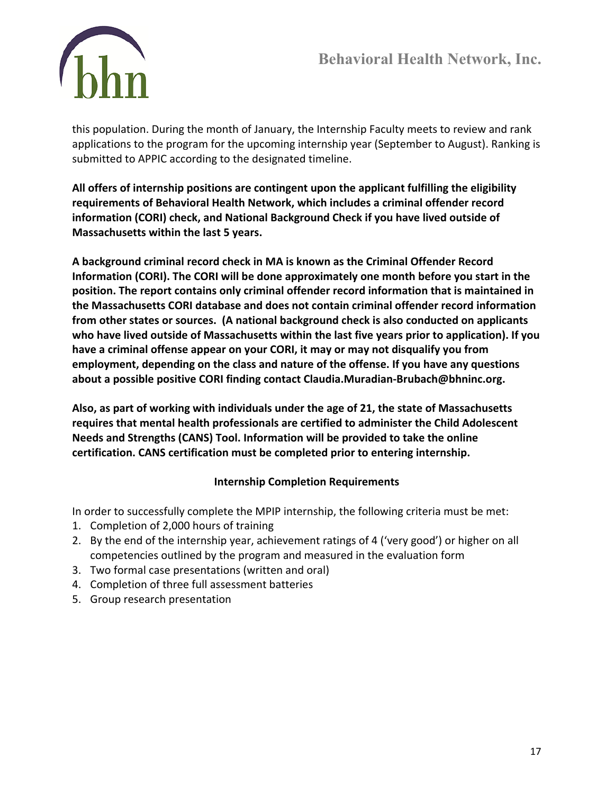

this population. During the month of January, the Internship Faculty meets to review and rank applications to the program for the upcoming internship year (September to August). Ranking is submitted to APPIC according to the designated timeline.

**All offers of internship positions are contingent upon the applicant fulfilling the eligibility requirements of Behavioral Health Network, which includes a criminal offender record information (CORI) check, and National Background Check if you have lived outside of Massachusetts within the last 5 years.**

**A background criminal record check in MA is known as the Criminal Offender Record Information (CORI). The CORI will be done approximately one month before you start in the position. The report contains only criminal offender record information that is maintained in the Massachusetts CORI database and does not contain criminal offender record information from other states or sources. (A national background check is also conducted on applicants who have lived outside of Massachusetts within the last five years prior to application). If you have a criminal offense appear on your CORI, it may or may not disqualify you from employment, depending on the class and nature of the offense. If you have any questions about a possible positive CORI finding contact Claudia.Muradian-Brubach@bhninc.org.**

**Also, as part of working with individuals under the age of 21, the state of Massachusetts requires that mental health professionals are certified to administer the Child Adolescent Needs and Strengths (CANS) Tool. Information will be provided to take the online certification. CANS certification must be completed prior to entering internship.**

## **Internship Completion Requirements**

In order to successfully complete the MPIP internship, the following criteria must be met:

- 1. Completion of 2,000 hours of training
- 2. By the end of the internship year, achievement ratings of 4 ('very good') or higher on all competencies outlined by the program and measured in the evaluation form
- 3. Two formal case presentations (written and oral)
- 4. Completion of three full assessment batteries
- 5. Group research presentation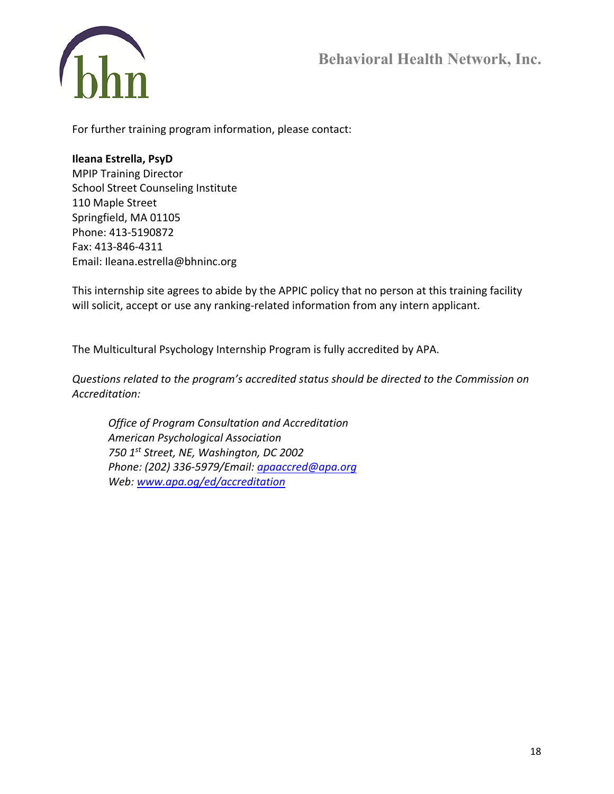

For further training program information, please contact:

#### **Ileana Estrella, PsyD**

MPIP Training Director School Street Counseling Institute 110 Maple Street Springfield, MA 01105 Phone: 413-5190872 Fax: 413-846-4311 Email: Ileana.estrella@bhninc.org

This internship site agrees to abide by the APPIC policy that no person at this training facility will solicit, accept or use any ranking-related information from any intern applicant.

The Multicultural Psychology Internship Program is fully accredited by APA.

*Questions related to the program's accredited status should be directed to the Commission on Accreditation:*

*Office of Program Consultation and Accreditation American Psychological Association 750 1st Street, NE, Washington, DC 2002 Phone: (202) 336-5979/Email: [apaaccred@apa.org](mailto:apaaccred@apa.org) Web: [www.apa.og/ed/accreditation](http://www.apa.og/ed/accreditation)*